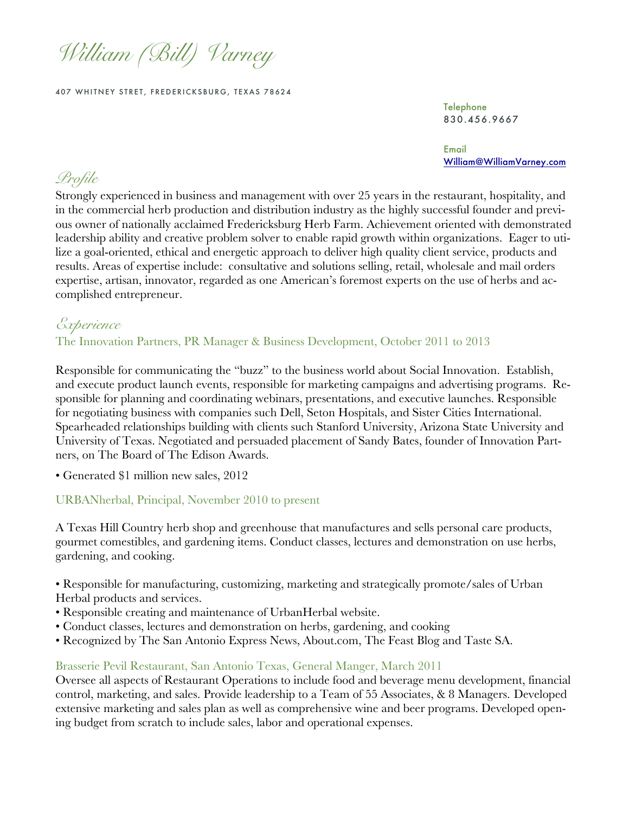*William (Bill) Varney* 

407 WHITNEY STRET, FREDERICKSBURG, TEXAS 78624

Telephone 830.456.9667

Email William@WilliamVarney.com

# *Profile*

Strongly experienced in business and management with over 25 years in the restaurant, hospitality, and in the commercial herb production and distribution industry as the highly successful founder and previous owner of nationally acclaimed Fredericksburg Herb Farm. Achievement oriented with demonstrated leadership ability and creative problem solver to enable rapid growth within organizations. Eager to utilize a goal-oriented, ethical and energetic approach to deliver high quality client service, products and results. Areas of expertise include: consultative and solutions selling, retail, wholesale and mail orders expertise, artisan, innovator, regarded as one American's foremost experts on the use of herbs and accomplished entrepreneur.

# *Experience*

The Innovation Partners, PR Manager & Business Development, October 2011 to 2013

Responsible for communicating the "buzz" to the business world about Social Innovation. Establish, and execute product launch events, responsible for marketing campaigns and advertising programs. Responsible for planning and coordinating webinars, presentations, and executive launches. Responsible for negotiating business with companies such Dell, Seton Hospitals, and Sister Cities International. Spearheaded relationships building with clients such Stanford University, Arizona State University and University of Texas. Negotiated and persuaded placement of Sandy Bates, founder of Innovation Partners, on The Board of The Edison Awards.

• Generated \$1 million new sales, 2012

### URBANherbal, Principal, November 2010 to present

A Texas Hill Country herb shop and greenhouse that manufactures and sells personal care products, gourmet comestibles, and gardening items. Conduct classes, lectures and demonstration on use herbs, gardening, and cooking.

• Responsible for manufacturing, customizing, marketing and strategically promote/sales of Urban Herbal products and services.

- Responsible creating and maintenance of UrbanHerbal website.
- Conduct classes, lectures and demonstration on herbs, gardening, and cooking
- Recognized by The San Antonio Express News, About.com, The Feast Blog and Taste SA.

#### Brasserie Pevil Restaurant, San Antonio Texas, General Manger, March 2011

Oversee all aspects of Restaurant Operations to include food and beverage menu development, financial control, marketing, and sales. Provide leadership to a Team of 55 Associates, & 8 Managers. Developed extensive marketing and sales plan as well as comprehensive wine and beer programs. Developed opening budget from scratch to include sales, labor and operational expenses.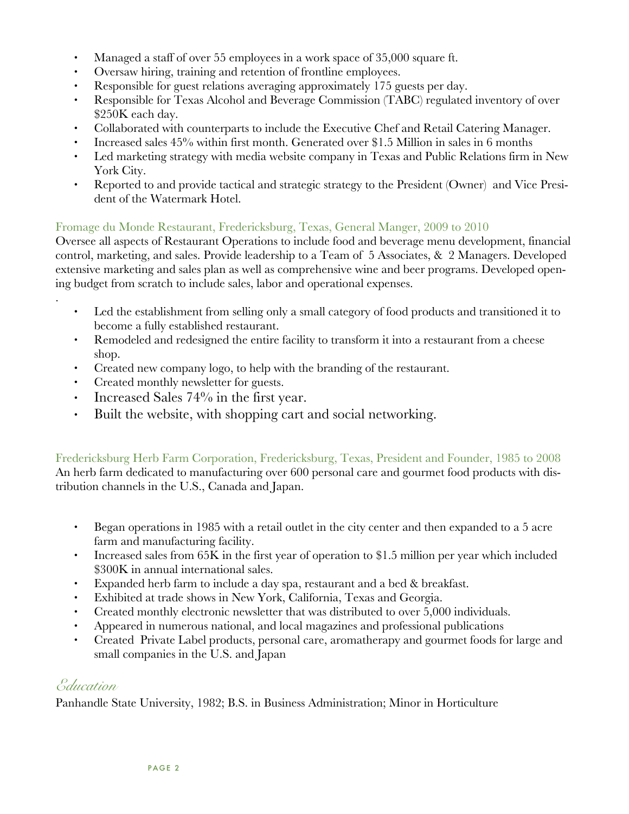- Managed a staff of over 55 employees in a work space of 35,000 square ft.
- Oversaw hiring, training and retention of frontline employees.
- Responsible for guest relations averaging approximately 175 guests per day.
- Responsible for Texas Alcohol and Beverage Commission (TABC) regulated inventory of over \$250K each day.
- Collaborated with counterparts to include the Executive Chef and Retail Catering Manager.
- Increased sales 45% within first month. Generated over \$1.5 Million in sales in 6 months
- Led marketing strategy with media website company in Texas and Public Relations firm in New York City.
- Reported to and provide tactical and strategic strategy to the President (Owner) and Vice President of the Watermark Hotel.

# Fromage du Monde Restaurant, Fredericksburg, Texas, General Manger, 2009 to 2010

Oversee all aspects of Restaurant Operations to include food and beverage menu development, financial control, marketing, and sales. Provide leadership to a Team of 5 Associates, & 2 Managers. Developed extensive marketing and sales plan as well as comprehensive wine and beer programs. Developed opening budget from scratch to include sales, labor and operational expenses.

- Led the establishment from selling only a small category of food products and transitioned it to become a fully established restaurant.
- Remodeled and redesigned the entire facility to transform it into a restaurant from a cheese shop.
- Created new company logo, to help with the branding of the restaurant.
- Created monthly newsletter for guests.
- Increased Sales 74% in the first year.
- Built the website, with shopping cart and social networking.

Fredericksburg Herb Farm Corporation, Fredericksburg, Texas, President and Founder, 1985 to 2008 An herb farm dedicated to manufacturing over 600 personal care and gourmet food products with distribution channels in the U.S., Canada and Japan.

- Began operations in 1985 with a retail outlet in the city center and then expanded to a 5 acre farm and manufacturing facility.
- Increased sales from 65K in the first year of operation to \$1.5 million per year which included \$300K in annual international sales.
- Expanded herb farm to include a day spa, restaurant and a bed & breakfast.
- Exhibited at trade shows in New York, California, Texas and Georgia.
- Created monthly electronic newsletter that was distributed to over 5,000 individuals.
- Appeared in numerous national, and local magazines and professional publications
- Created Private Label products, personal care, aromatherapy and gourmet foods for large and small companies in the U.S. and Japan

# *Education*

.

Panhandle State University, 1982; B.S. in Business Administration; Minor in Horticulture